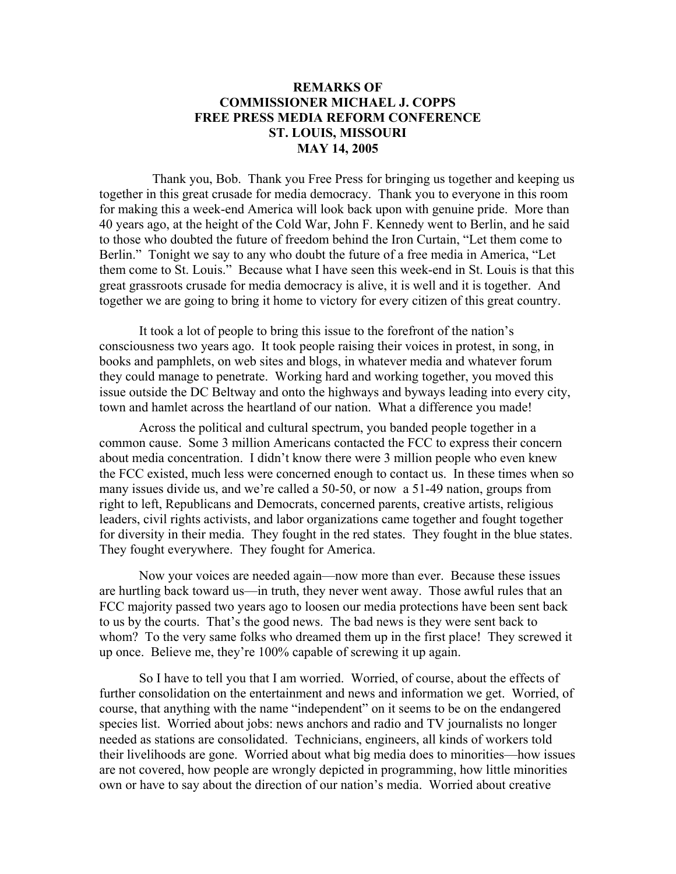## **REMARKS OF COMMISSIONER MICHAEL J. COPPS FREE PRESS MEDIA REFORM CONFERENCE ST. LOUIS, MISSOURI MAY 14, 2005**

 Thank you, Bob. Thank you Free Press for bringing us together and keeping us together in this great crusade for media democracy. Thank you to everyone in this room for making this a week-end America will look back upon with genuine pride. More than 40 years ago, at the height of the Cold War, John F. Kennedy went to Berlin, and he said to those who doubted the future of freedom behind the Iron Curtain, "Let them come to Berlin." Tonight we say to any who doubt the future of a free media in America, "Let them come to St. Louis." Because what I have seen this week-end in St. Louis is that this great grassroots crusade for media democracy is alive, it is well and it is together. And together we are going to bring it home to victory for every citizen of this great country.

It took a lot of people to bring this issue to the forefront of the nation's consciousness two years ago. It took people raising their voices in protest, in song, in books and pamphlets, on web sites and blogs, in whatever media and whatever forum they could manage to penetrate. Working hard and working together, you moved this issue outside the DC Beltway and onto the highways and byways leading into every city, town and hamlet across the heartland of our nation. What a difference you made!

Across the political and cultural spectrum, you banded people together in a common cause. Some 3 million Americans contacted the FCC to express their concern about media concentration. I didn't know there were 3 million people who even knew the FCC existed, much less were concerned enough to contact us. In these times when so many issues divide us, and we're called a 50-50, or now a 51-49 nation, groups from right to left, Republicans and Democrats, concerned parents, creative artists, religious leaders, civil rights activists, and labor organizations came together and fought together for diversity in their media. They fought in the red states. They fought in the blue states. They fought everywhere. They fought for America.

Now your voices are needed again—now more than ever. Because these issues are hurtling back toward us—in truth, they never went away. Those awful rules that an FCC majority passed two years ago to loosen our media protections have been sent back to us by the courts. That's the good news. The bad news is they were sent back to whom? To the very same folks who dreamed them up in the first place! They screwed it up once. Believe me, they're 100% capable of screwing it up again.

So I have to tell you that I am worried. Worried, of course, about the effects of further consolidation on the entertainment and news and information we get. Worried, of course, that anything with the name "independent" on it seems to be on the endangered species list. Worried about jobs: news anchors and radio and TV journalists no longer needed as stations are consolidated. Technicians, engineers, all kinds of workers told their livelihoods are gone. Worried about what big media does to minorities—how issues are not covered, how people are wrongly depicted in programming, how little minorities own or have to say about the direction of our nation's media. Worried about creative